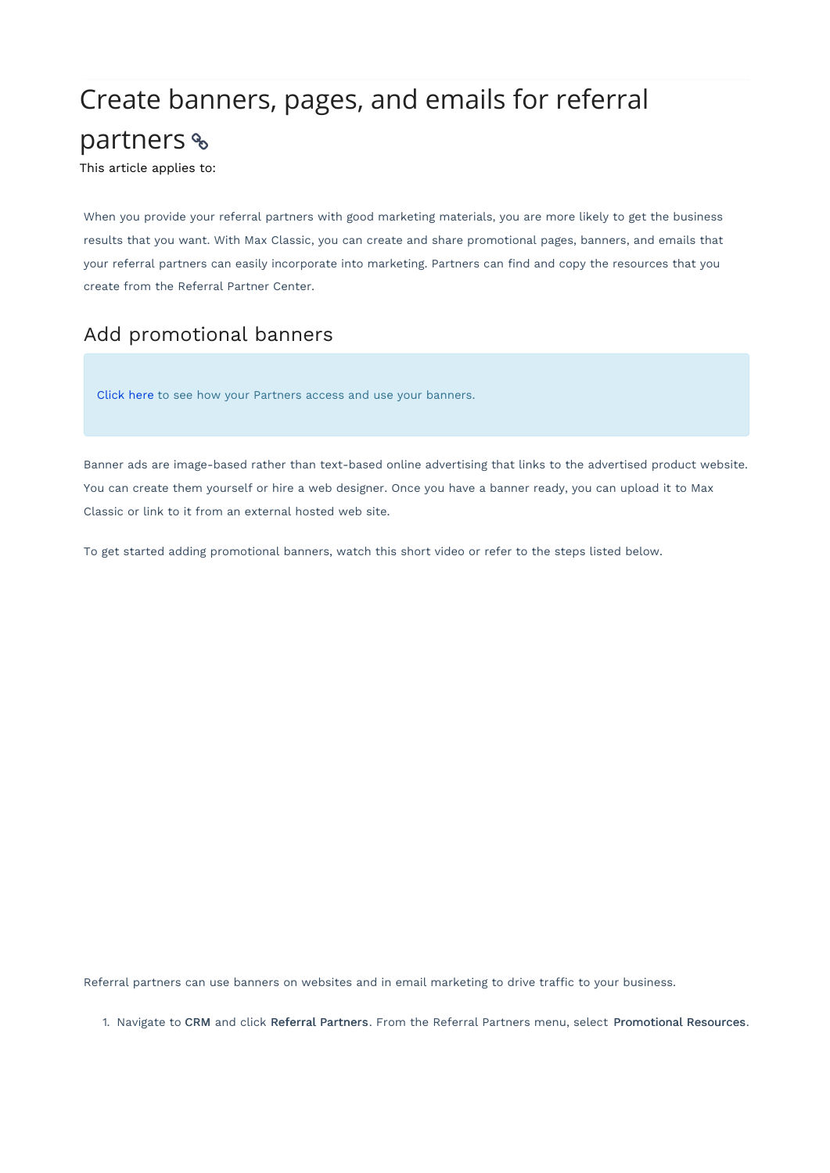## Create banners, pages, and emails for referral partners &

This article applies to:

When you provide your referral partners with good marketing materials, you are more likely to get the business results that you want. With Max Classic, you can create and share promotional pages, banners, and emails that your referral partners can easily incorporate into marketing. Partners can find and copy the resources that you create from the Referral Partner Center.

## Add promotional banners

Click here to see how your Partners access and use your banners.

Banner ads are image-based rather than text-based online advertising that links to the advertised product website. You can create them yourself or hire a web designer. Once you have a banner ready, you can upload it to Max Classic or link to it from an external hosted web site.

To get started adding promotional banners, watch this short video or refer to the steps listed below.

Referral partners can use banners on websites and in email marketing to drive traffic to your business.

1. Navigate to CRM and click Referral Partners. From the Referral Partners menu, select Promotional Resources.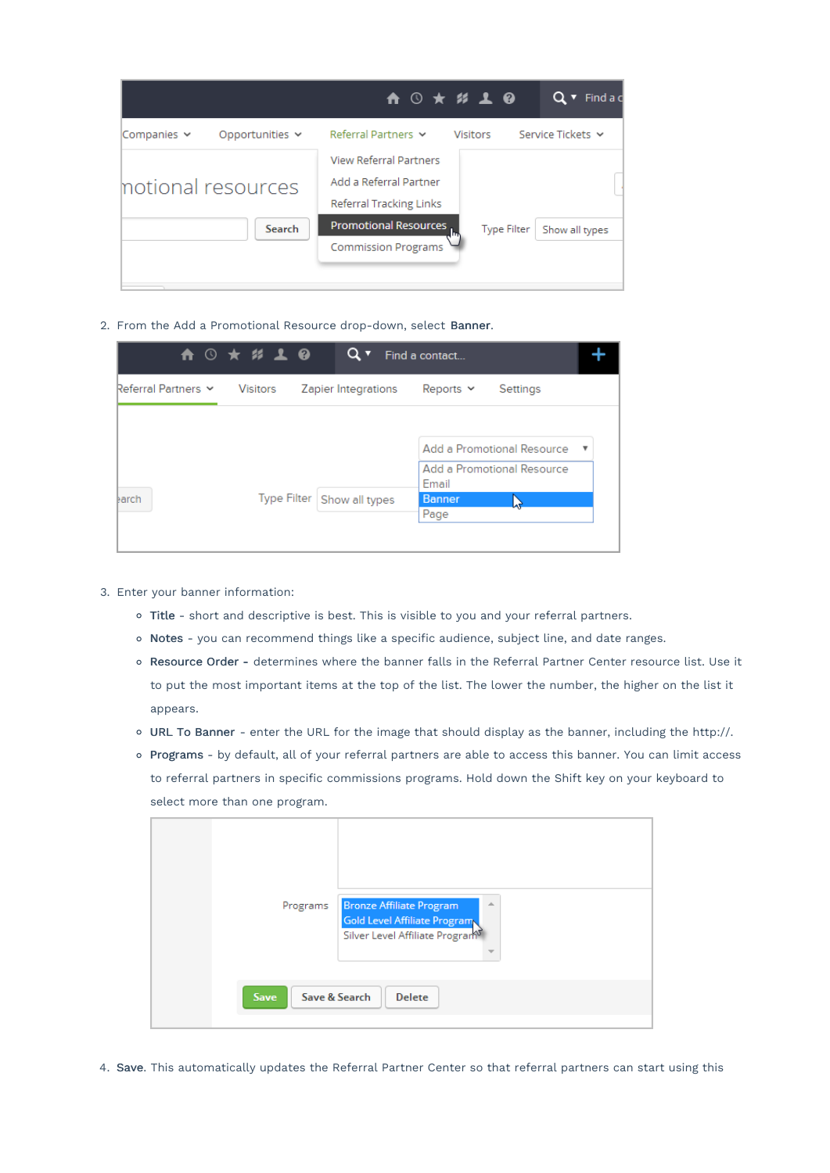|                    |                      | ↑ ⓒ ★ ½ ↓ ❷                                                                               |                 |                    | Q                 | - Find a d |
|--------------------|----------------------|-------------------------------------------------------------------------------------------|-----------------|--------------------|-------------------|------------|
| Companies v        | Opportunities $\sim$ | Referral Partners                                                                         | <b>Visitors</b> |                    | Service Tickets Y |            |
| motional resources |                      | <b>View Referral Partners</b><br>Add a Referral Partner<br><b>Referral Tracking Links</b> |                 |                    |                   |            |
|                    | Search               | Promotional Resources<br><b>Commission Programs</b>                                       |                 | <b>Type Filter</b> | Show all types    |            |

2. From the Add a Promotional Resource drop-down, select Banner.

|                     | <b>A ⊙ ★ # ↓ @</b>           | Q۰                  | Find a contact                 |                                                          |                         |
|---------------------|------------------------------|---------------------|--------------------------------|----------------------------------------------------------|-------------------------|
| Referral Partners Y | Visitors                     | Zapier Integrations | Reports $\sim$                 | Settings                                                 |                         |
| earch               | Type Filter   Show all types |                     | Email<br><b>Banner</b><br>Page | Add a Promotional Resource<br>Add a Promotional Resource | $\overline{\mathbf{v}}$ |

- 3. Enter your banner information:
	- Title short and descriptive is best. This is visible to you and your referral partners.
	- o Notes you can recommend things like a specific audience, subject line, and date ranges.
	- Resource Order determines where the banner falls in the Referral Partner Center resource list. Use it to put the most important items at the top of the list. The lower the number, the higher on the list it appears.
	- URL To Banner enter the URL for the image that should display as the banner, including the http://.
	- Programs by default, all of your referral partners are able to access this banner. You can limit access to referral partners in specific commissions programs. Hold down the Shift key on your keyboard to select more than one program.

| Programs                               | <b>Bronze Affiliate Program</b><br>$\Delta$<br>Gold Level Affiliate Program<br>Silver Level Affiliate Program® |  |
|----------------------------------------|----------------------------------------------------------------------------------------------------------------|--|
| Save & Search<br>Save<br><b>Delete</b> |                                                                                                                |  |

4. Save. This automatically updates the Referral Partner Center so that referral partners can start using this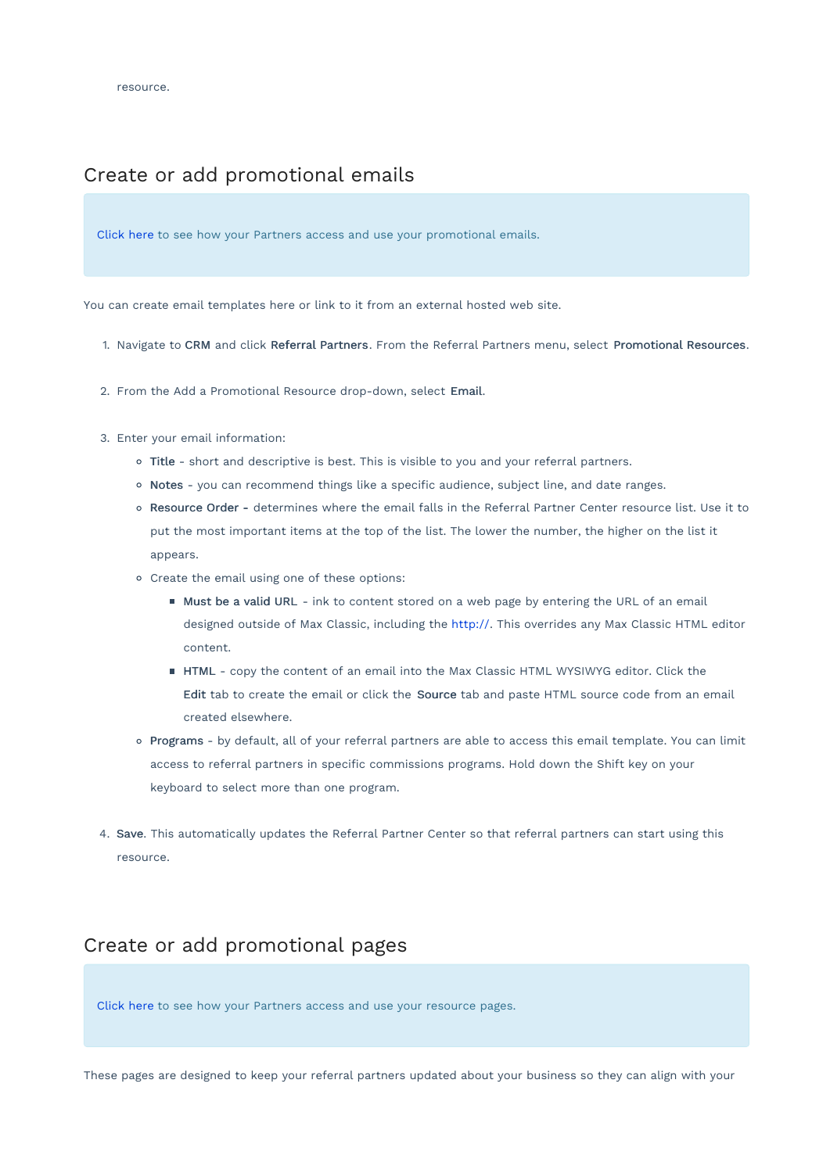## Create or add promotional emails

Click here to see how your Partners access and use your promotional emails.

You can create email templates here or link to it from an external hosted web site.

- 1. Navigate to CRM and click Referral Partners. From the Referral Partners menu, select Promotional Resources.
- 2. From the Add a Promotional Resource drop-down, select Email.
- 3. Enter your email information:
	- o Title short and descriptive is best. This is visible to you and your referral partners.
	- o Notes you can recommend things like a specific audience, subject line, and date ranges.
	- Resource Order determines where the email falls in the Referral Partner Center resource list. Use it to put the most important items at the top of the list. The lower the number, the higher on the list it appears.
	- Create the email using one of these options:
		- Must be a valid URL ink to content stored on a web page by entering the URL of an email designed outside of Max Classic, including the http://. This overrides any Max Classic HTML editor content.
		- HTML copy the content of an email into the Max Classic HTML WYSIWYG editor. Click the Edit tab to create the email or click the Source tab and paste HTML source code from an email created elsewhere.
	- o Programs by default, all of your referral partners are able to access this email template. You can limit access to referral partners in specific commissions programs. Hold down the Shift key on your keyboard to select more than one program.
- 4. Save. This automatically updates the Referral Partner Center so that referral partners can start using this resource.

## Create or add promotional pages

Click here to see how your Partners access and use your resource pages.

These pages are designed to keep your referral partners updated about your business so they can align with your